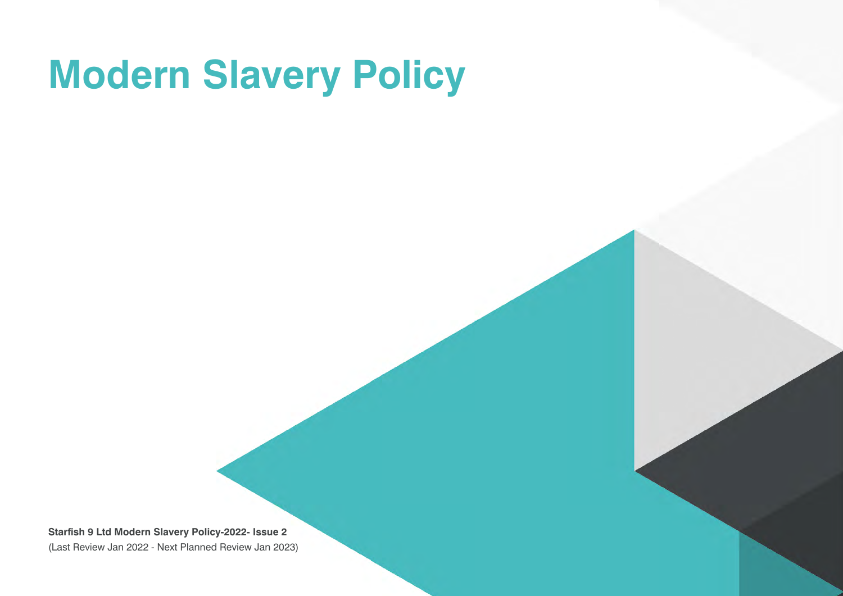# **Modern Slavery Policy**

**Starfish 9 Ltd Modern Slavery Policy-2022- Issue 2**  (Last Review Jan 2022 - Next Planned Review Jan 2023)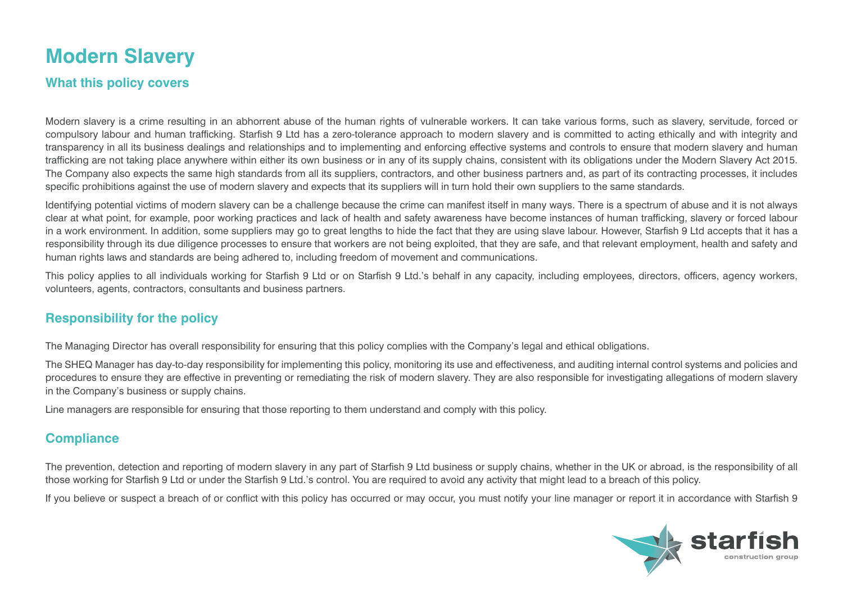## **Modern Slavery**

#### **What this policy covers**

Modern slavery is a crime resulting in an abhorrent abuse of the human rights of vulnerable workers. It can take various forms, such as slavery, servitude, forced or compulsory labour and human trafficking. Starfish 9 Ltd has a zero-tolerance approach to modern slavery and is committed to acting ethically and with integrity and transparency in all its business dealings and relationships and to implementing and enforcing effective systems and controls to ensure that modern slavery and human trafficking are not taking place anywhere within either its own business or in any of its supply chains, consistent with its obligations under the Modern Slavery Act 2015. The Company also expects the same high standards from all its suppliers, contractors, and other business partners and, as part of its contracting processes, it includes specific prohibitions against the use of modern slavery and expects that its suppliers will in turn hold their own suppliers to the same standards.

Identifying potential victims of modern slavery can be a challenge because the crime can manifest itself in many ways. There is a spectrum of abuse and it is not always clear at what point, for example, poor working practices and lack of health and safety awareness have become instances of human trafficking, slavery or forced labour in a work environment. In addition, some suppliers may go to great lengths to hide the fact that they are using slave labour. However, Starfish 9 Ltd accepts that it has a responsibility through its due diligence processes to ensure that workers are not being exploited, that they are safe, and that relevant employment, health and safety and human rights laws and standards are being adhered to, including freedom of movement and communications.

This policy applies to all individuals working for Starfish 9 Ltd or on Starfish 9 Ltd.'s behalf in any capacity, including employees, directors, officers, agency workers, volunteers, agents, contractors, consultants and business partners.

#### **Responsibility for the policy**

The Managing Director has overall responsibility for ensuring that this policy complies with the Company's legal and ethical obligations.

The SHEQ Manager has day-to-day responsibility for implementing this policy, monitoring its use and effectiveness, and auditing internal control systems and policies and procedures to ensure they are effective in preventing or remediating the risk of modern slavery. They are also responsible for investigating allegations of modern slavery in the Company's business or supply chains.

Line managers are responsible for ensuring that those reporting to them understand and comply with this policy.

#### **Compliance**

The prevention, detection and reporting of modern slavery in any part of Starfish 9 Ltd business or supply chains, whether in the UK or abroad, is the responsibility of all those working for Starfish 9 Ltd or under the Starfish 9 Ltd.'s control. You are required to avoid any activity that might lead to a breach of this policy.

If you believe or suspect a breach of or conflict with this policy has occurred or may occur, you must notify your line manager or report it in accordance with Starfish 9